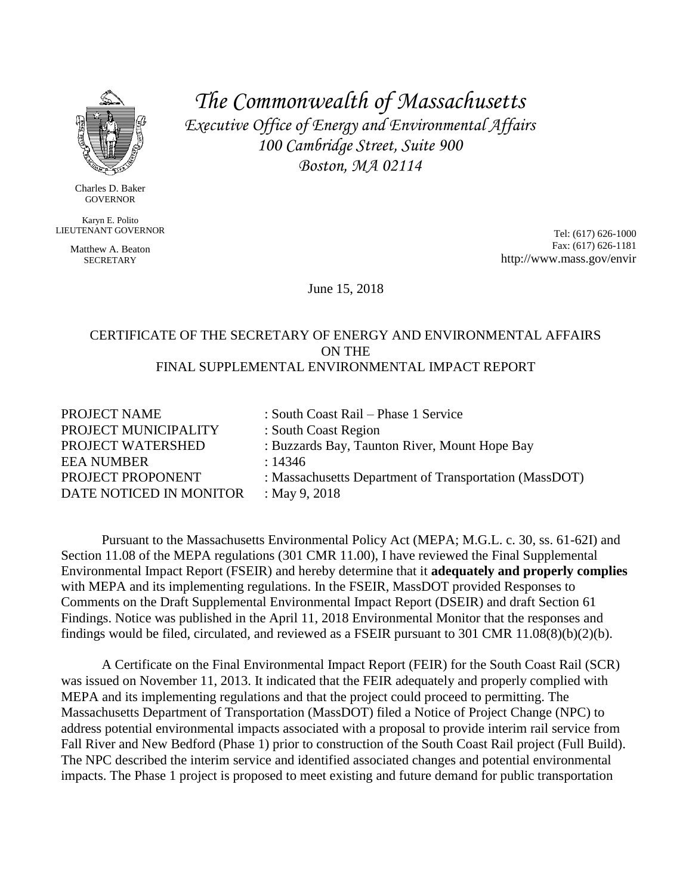

Charles D. Baker GOVERNOR

Karyn E. Polito LIEUTENANT GOVERNOR

> Matthew A. Beaton **SECRETARY**

*The Commonwealth of Massachusetts Executive Office of Energy and Environmental Affairs 100 Cambridge Street, Suite 900 Boston, MA 02114*

> Tel: (617) 626-1000 Fax: (617) 626-1181 http://www.mass.gov/envir

June 15, 2018

#### CERTIFICATE OF THE SECRETARY OF ENERGY AND ENVIRONMENTAL AFFAIRS ON THE FINAL SUPPLEMENTAL ENVIRONMENTAL IMPACT REPORT

| : South Coast Rail – Phase 1 Service                   |
|--------------------------------------------------------|
| : South Coast Region                                   |
| : Buzzards Bay, Taunton River, Mount Hope Bay          |
| : 14346                                                |
| : Massachusetts Department of Transportation (MassDOT) |
| : May 9, 2018                                          |
|                                                        |

Pursuant to the Massachusetts Environmental Policy Act (MEPA; M.G.L. c. 30, ss. 61-62I) and Section 11.08 of the MEPA regulations (301 CMR 11.00), I have reviewed the Final Supplemental Environmental Impact Report (FSEIR) and hereby determine that it **adequately and properly complies** with MEPA and its implementing regulations. In the FSEIR, MassDOT provided Responses to Comments on the Draft Supplemental Environmental Impact Report (DSEIR) and draft Section 61 Findings. Notice was published in the April 11, 2018 Environmental Monitor that the responses and findings would be filed, circulated, and reviewed as a FSEIR pursuant to 301 CMR 11.08(8)(b)(2)(b).

A Certificate on the Final Environmental Impact Report (FEIR) for the South Coast Rail (SCR) was issued on November 11, 2013. It indicated that the FEIR adequately and properly complied with MEPA and its implementing regulations and that the project could proceed to permitting. The Massachusetts Department of Transportation (MassDOT) filed a Notice of Project Change (NPC) to address potential environmental impacts associated with a proposal to provide interim rail service from Fall River and New Bedford (Phase 1) prior to construction of the South Coast Rail project (Full Build). The NPC described the interim service and identified associated changes and potential environmental impacts. The Phase 1 project is proposed to meet existing and future demand for public transportation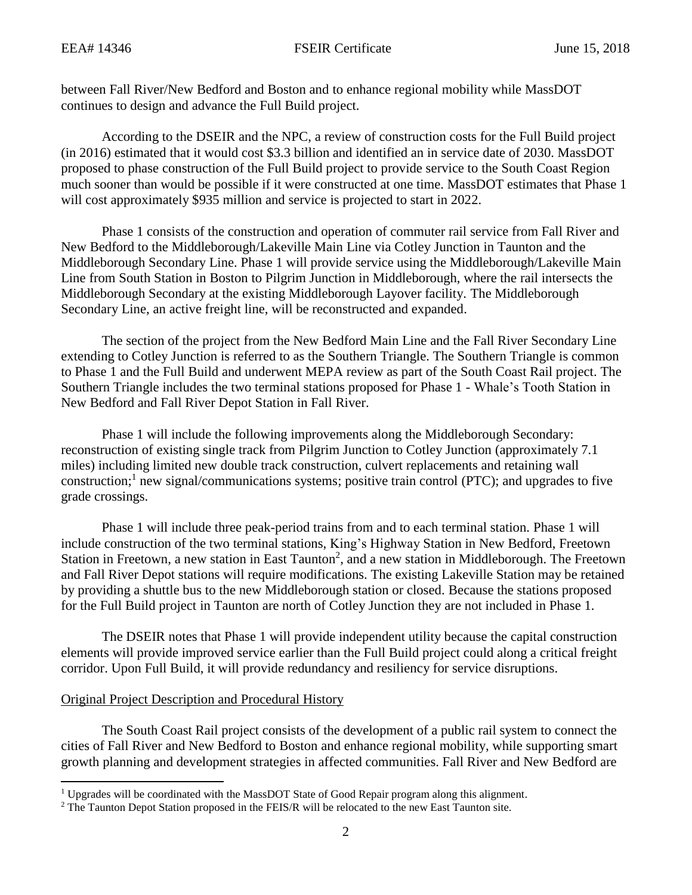between Fall River/New Bedford and Boston and to enhance regional mobility while MassDOT continues to design and advance the Full Build project.

According to the DSEIR and the NPC, a review of construction costs for the Full Build project (in 2016) estimated that it would cost \$3.3 billion and identified an in service date of 2030. MassDOT proposed to phase construction of the Full Build project to provide service to the South Coast Region much sooner than would be possible if it were constructed at one time. MassDOT estimates that Phase 1 will cost approximately \$935 million and service is projected to start in 2022.

Phase 1 consists of the construction and operation of commuter rail service from Fall River and New Bedford to the Middleborough/Lakeville Main Line via Cotley Junction in Taunton and the Middleborough Secondary Line. Phase 1 will provide service using the Middleborough/Lakeville Main Line from South Station in Boston to Pilgrim Junction in Middleborough, where the rail intersects the Middleborough Secondary at the existing Middleborough Layover facility. The Middleborough Secondary Line, an active freight line, will be reconstructed and expanded.

The section of the project from the New Bedford Main Line and the Fall River Secondary Line extending to Cotley Junction is referred to as the Southern Triangle. The Southern Triangle is common to Phase 1 and the Full Build and underwent MEPA review as part of the South Coast Rail project. The Southern Triangle includes the two terminal stations proposed for Phase 1 - Whale's Tooth Station in New Bedford and Fall River Depot Station in Fall River.

Phase 1 will include the following improvements along the Middleborough Secondary: reconstruction of existing single track from Pilgrim Junction to Cotley Junction (approximately 7.1 miles) including limited new double track construction, culvert replacements and retaining wall construction;<sup>1</sup> new signal/communications systems; positive train control (PTC); and upgrades to five grade crossings.

Phase 1 will include three peak-period trains from and to each terminal station. Phase 1 will include construction of the two terminal stations, King's Highway Station in New Bedford, Freetown Station in Freetown, a new station in East Taunton<sup>2</sup>, and a new station in Middleborough. The Freetown and Fall River Depot stations will require modifications. The existing Lakeville Station may be retained by providing a shuttle bus to the new Middleborough station or closed. Because the stations proposed for the Full Build project in Taunton are north of Cotley Junction they are not included in Phase 1.

The DSEIR notes that Phase 1 will provide independent utility because the capital construction elements will provide improved service earlier than the Full Build project could along a critical freight corridor. Upon Full Build, it will provide redundancy and resiliency for service disruptions.

### Original Project Description and Procedural History

 $\overline{a}$ 

The South Coast Rail project consists of the development of a public rail system to connect the cities of Fall River and New Bedford to Boston and enhance regional mobility, while supporting smart growth planning and development strategies in affected communities. Fall River and New Bedford are

<sup>&</sup>lt;sup>1</sup> Upgrades will be coordinated with the MassDOT State of Good Repair program along this alignment.

<sup>&</sup>lt;sup>2</sup> The Taunton Depot Station proposed in the FEIS/R will be relocated to the new East Taunton site.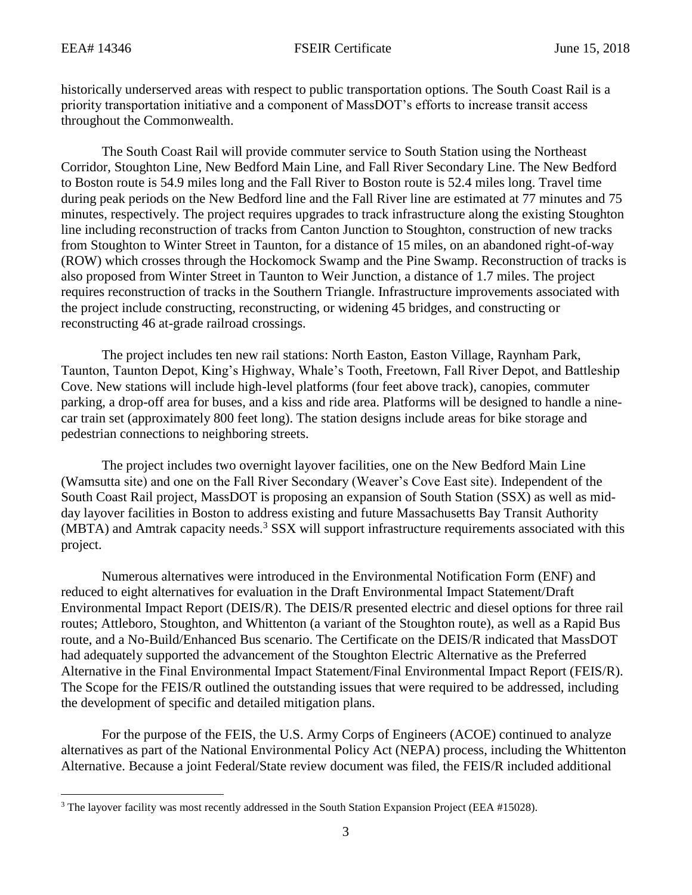$\overline{\phantom{a}}$ 

historically underserved areas with respect to public transportation options. The South Coast Rail is a priority transportation initiative and a component of MassDOT's efforts to increase transit access throughout the Commonwealth.

The South Coast Rail will provide commuter service to South Station using the Northeast Corridor, Stoughton Line, New Bedford Main Line, and Fall River Secondary Line. The New Bedford to Boston route is 54.9 miles long and the Fall River to Boston route is 52.4 miles long. Travel time during peak periods on the New Bedford line and the Fall River line are estimated at 77 minutes and 75 minutes, respectively. The project requires upgrades to track infrastructure along the existing Stoughton line including reconstruction of tracks from Canton Junction to Stoughton, construction of new tracks from Stoughton to Winter Street in Taunton, for a distance of 15 miles, on an abandoned right-of-way (ROW) which crosses through the Hockomock Swamp and the Pine Swamp. Reconstruction of tracks is also proposed from Winter Street in Taunton to Weir Junction, a distance of 1.7 miles. The project requires reconstruction of tracks in the Southern Triangle. Infrastructure improvements associated with the project include constructing, reconstructing, or widening 45 bridges, and constructing or reconstructing 46 at-grade railroad crossings.

The project includes ten new rail stations: North Easton, Easton Village, Raynham Park, Taunton, Taunton Depot, King's Highway, Whale's Tooth, Freetown, Fall River Depot, and Battleship Cove. New stations will include high-level platforms (four feet above track), canopies, commuter parking, a drop-off area for buses, and a kiss and ride area. Platforms will be designed to handle a ninecar train set (approximately 800 feet long). The station designs include areas for bike storage and pedestrian connections to neighboring streets.

The project includes two overnight layover facilities, one on the New Bedford Main Line (Wamsutta site) and one on the Fall River Secondary (Weaver's Cove East site). Independent of the South Coast Rail project, MassDOT is proposing an expansion of South Station (SSX) as well as midday layover facilities in Boston to address existing and future Massachusetts Bay Transit Authority  $(MBTA)$  and Amtrak capacity needs.<sup>3</sup> SSX will support infrastructure requirements associated with this project.

Numerous alternatives were introduced in the Environmental Notification Form (ENF) and reduced to eight alternatives for evaluation in the Draft Environmental Impact Statement/Draft Environmental Impact Report (DEIS/R). The DEIS/R presented electric and diesel options for three rail routes; Attleboro, Stoughton, and Whittenton (a variant of the Stoughton route), as well as a Rapid Bus route, and a No-Build/Enhanced Bus scenario. The Certificate on the DEIS/R indicated that MassDOT had adequately supported the advancement of the Stoughton Electric Alternative as the Preferred Alternative in the Final Environmental Impact Statement/Final Environmental Impact Report (FEIS/R). The Scope for the FEIS/R outlined the outstanding issues that were required to be addressed, including the development of specific and detailed mitigation plans.

For the purpose of the FEIS, the U.S. Army Corps of Engineers (ACOE) continued to analyze alternatives as part of the National Environmental Policy Act (NEPA) process, including the Whittenton Alternative. Because a joint Federal/State review document was filed, the FEIS/R included additional

<sup>&</sup>lt;sup>3</sup> The layover facility was most recently addressed in the South Station Expansion Project (EEA #15028).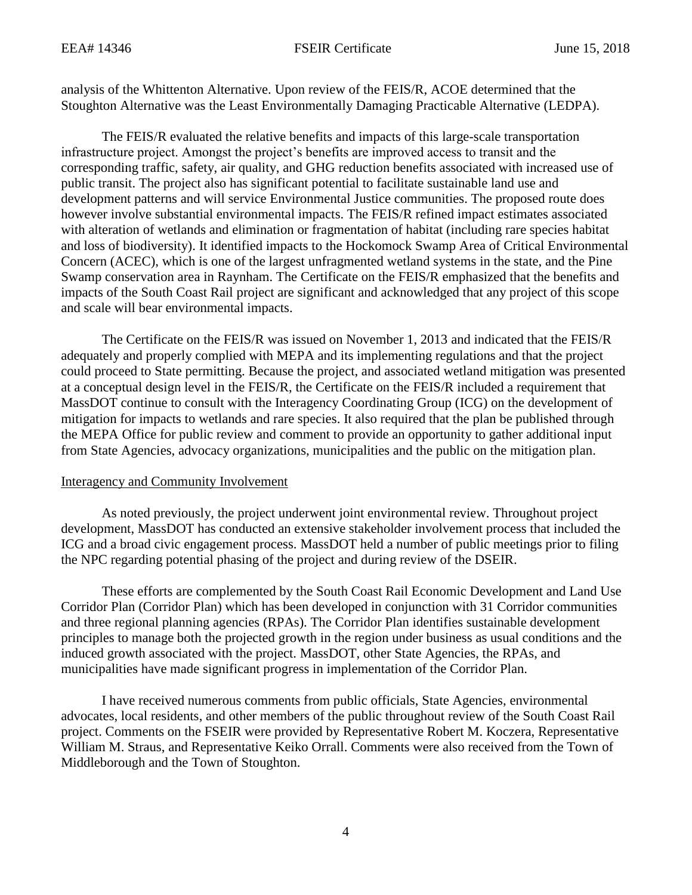analysis of the Whittenton Alternative. Upon review of the FEIS/R, ACOE determined that the Stoughton Alternative was the Least Environmentally Damaging Practicable Alternative (LEDPA).

The FEIS/R evaluated the relative benefits and impacts of this large-scale transportation infrastructure project. Amongst the project's benefits are improved access to transit and the corresponding traffic, safety, air quality, and GHG reduction benefits associated with increased use of public transit. The project also has significant potential to facilitate sustainable land use and development patterns and will service Environmental Justice communities. The proposed route does however involve substantial environmental impacts. The FEIS/R refined impact estimates associated with alteration of wetlands and elimination or fragmentation of habitat (including rare species habitat and loss of biodiversity). It identified impacts to the Hockomock Swamp Area of Critical Environmental Concern (ACEC), which is one of the largest unfragmented wetland systems in the state, and the Pine Swamp conservation area in Raynham. The Certificate on the FEIS/R emphasized that the benefits and impacts of the South Coast Rail project are significant and acknowledged that any project of this scope and scale will bear environmental impacts.

The Certificate on the FEIS/R was issued on November 1, 2013 and indicated that the FEIS/R adequately and properly complied with MEPA and its implementing regulations and that the project could proceed to State permitting. Because the project, and associated wetland mitigation was presented at a conceptual design level in the FEIS/R, the Certificate on the FEIS/R included a requirement that MassDOT continue to consult with the Interagency Coordinating Group (ICG) on the development of mitigation for impacts to wetlands and rare species. It also required that the plan be published through the MEPA Office for public review and comment to provide an opportunity to gather additional input from State Agencies, advocacy organizations, municipalities and the public on the mitigation plan.

### Interagency and Community Involvement

As noted previously, the project underwent joint environmental review. Throughout project development, MassDOT has conducted an extensive stakeholder involvement process that included the ICG and a broad civic engagement process. MassDOT held a number of public meetings prior to filing the NPC regarding potential phasing of the project and during review of the DSEIR.

These efforts are complemented by the South Coast Rail Economic Development and Land Use Corridor Plan (Corridor Plan) which has been developed in conjunction with 31 Corridor communities and three regional planning agencies (RPAs). The Corridor Plan identifies sustainable development principles to manage both the projected growth in the region under business as usual conditions and the induced growth associated with the project. MassDOT, other State Agencies, the RPAs, and municipalities have made significant progress in implementation of the Corridor Plan.

I have received numerous comments from public officials, State Agencies, environmental advocates, local residents, and other members of the public throughout review of the South Coast Rail project. Comments on the FSEIR were provided by Representative Robert M. Koczera, Representative William M. Straus, and Representative Keiko Orrall. Comments were also received from the Town of Middleborough and the Town of Stoughton.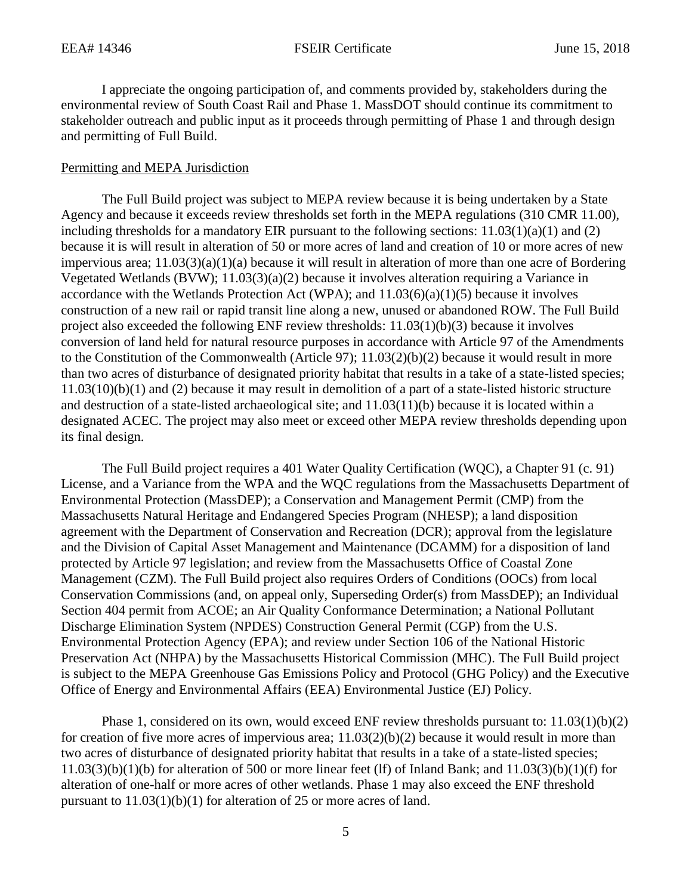I appreciate the ongoing participation of, and comments provided by, stakeholders during the environmental review of South Coast Rail and Phase 1. MassDOT should continue its commitment to stakeholder outreach and public input as it proceeds through permitting of Phase 1 and through design and permitting of Full Build.

#### Permitting and MEPA Jurisdiction

The Full Build project was subject to MEPA review because it is being undertaken by a State Agency and because it exceeds review thresholds set forth in the MEPA regulations (310 CMR 11.00), including thresholds for a mandatory EIR pursuant to the following sections:  $11.03(1)(a)(1)$  and  $(2)$ because it is will result in alteration of 50 or more acres of land and creation of 10 or more acres of new impervious area; 11.03(3)(a)(1)(a) because it will result in alteration of more than one acre of Bordering Vegetated Wetlands (BVW); 11.03(3)(a)(2) because it involves alteration requiring a Variance in accordance with the Wetlands Protection Act (WPA); and  $11.03(6)(a)(1)(5)$  because it involves construction of a new rail or rapid transit line along a new, unused or abandoned ROW. The Full Build project also exceeded the following ENF review thresholds: 11.03(1)(b)(3) because it involves conversion of land held for natural resource purposes in accordance with Article 97 of the Amendments to the Constitution of the Commonwealth (Article 97); 11.03(2)(b)(2) because it would result in more than two acres of disturbance of designated priority habitat that results in a take of a state-listed species; 11.03(10)(b)(1) and (2) because it may result in demolition of a part of a state-listed historic structure and destruction of a state-listed archaeological site; and 11.03(11)(b) because it is located within a designated ACEC. The project may also meet or exceed other MEPA review thresholds depending upon its final design.

The Full Build project requires a 401 Water Quality Certification (WQC), a Chapter 91 (c. 91) License, and a Variance from the WPA and the WQC regulations from the Massachusetts Department of Environmental Protection (MassDEP); a Conservation and Management Permit (CMP) from the Massachusetts Natural Heritage and Endangered Species Program (NHESP); a land disposition agreement with the Department of Conservation and Recreation (DCR); approval from the legislature and the Division of Capital Asset Management and Maintenance (DCAMM) for a disposition of land protected by Article 97 legislation; and review from the Massachusetts Office of Coastal Zone Management (CZM). The Full Build project also requires Orders of Conditions (OOCs) from local Conservation Commissions (and, on appeal only, Superseding Order(s) from MassDEP); an Individual Section 404 permit from ACOE; an Air Quality Conformance Determination; a National Pollutant Discharge Elimination System (NPDES) Construction General Permit (CGP) from the U.S. Environmental Protection Agency (EPA); and review under Section 106 of the National Historic Preservation Act (NHPA) by the Massachusetts Historical Commission (MHC). The Full Build project is subject to the MEPA Greenhouse Gas Emissions Policy and Protocol (GHG Policy) and the Executive Office of Energy and Environmental Affairs (EEA) Environmental Justice (EJ) Policy.

Phase 1, considered on its own, would exceed ENF review thresholds pursuant to:  $11.03(1)(b)(2)$ for creation of five more acres of impervious area;  $11.03(2)(b)(2)$  because it would result in more than two acres of disturbance of designated priority habitat that results in a take of a state-listed species;  $11.03(3)(b)(1)(b)$  for alteration of 500 or more linear feet (lf) of Inland Bank; and  $11.03(3)(b)(1)(f)$  for alteration of one-half or more acres of other wetlands. Phase 1 may also exceed the ENF threshold pursuant to 11.03(1)(b)(1) for alteration of 25 or more acres of land.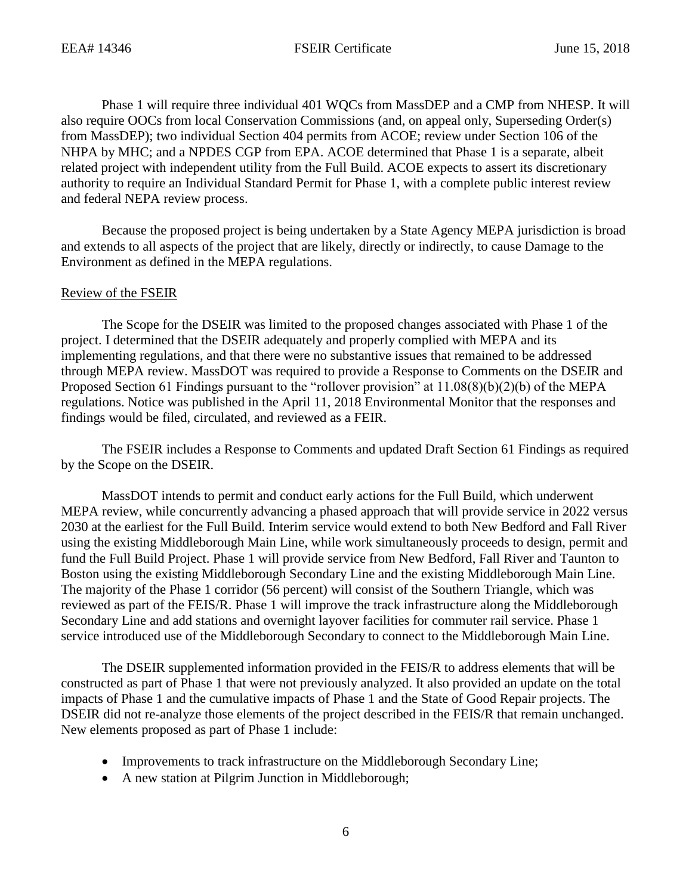Phase 1 will require three individual 401 WQCs from MassDEP and a CMP from NHESP. It will also require OOCs from local Conservation Commissions (and, on appeal only, Superseding Order(s) from MassDEP); two individual Section 404 permits from ACOE; review under Section 106 of the NHPA by MHC; and a NPDES CGP from EPA. ACOE determined that Phase 1 is a separate, albeit related project with independent utility from the Full Build. ACOE expects to assert its discretionary authority to require an Individual Standard Permit for Phase 1, with a complete public interest review and federal NEPA review process.

Because the proposed project is being undertaken by a State Agency MEPA jurisdiction is broad and extends to all aspects of the project that are likely, directly or indirectly, to cause Damage to the Environment as defined in the MEPA regulations.

#### Review of the FSEIR

The Scope for the DSEIR was limited to the proposed changes associated with Phase 1 of the project. I determined that the DSEIR adequately and properly complied with MEPA and its implementing regulations, and that there were no substantive issues that remained to be addressed through MEPA review. MassDOT was required to provide a Response to Comments on the DSEIR and Proposed Section 61 Findings pursuant to the "rollover provision" at 11.08(8)(b)(2)(b) of the MEPA regulations. Notice was published in the April 11, 2018 Environmental Monitor that the responses and findings would be filed, circulated, and reviewed as a FEIR.

The FSEIR includes a Response to Comments and updated Draft Section 61 Findings as required by the Scope on the DSEIR.

MassDOT intends to permit and conduct early actions for the Full Build, which underwent MEPA review, while concurrently advancing a phased approach that will provide service in 2022 versus 2030 at the earliest for the Full Build. Interim service would extend to both New Bedford and Fall River using the existing Middleborough Main Line, while work simultaneously proceeds to design, permit and fund the Full Build Project. Phase 1 will provide service from New Bedford, Fall River and Taunton to Boston using the existing Middleborough Secondary Line and the existing Middleborough Main Line. The majority of the Phase 1 corridor (56 percent) will consist of the Southern Triangle, which was reviewed as part of the FEIS/R. Phase 1 will improve the track infrastructure along the Middleborough Secondary Line and add stations and overnight layover facilities for commuter rail service. Phase 1 service introduced use of the Middleborough Secondary to connect to the Middleborough Main Line.

The DSEIR supplemented information provided in the FEIS/R to address elements that will be constructed as part of Phase 1 that were not previously analyzed. It also provided an update on the total impacts of Phase 1 and the cumulative impacts of Phase 1 and the State of Good Repair projects. The DSEIR did not re-analyze those elements of the project described in the FEIS/R that remain unchanged. New elements proposed as part of Phase 1 include:

- Improvements to track infrastructure on the Middleborough Secondary Line;
- A new station at Pilgrim Junction in Middleborough;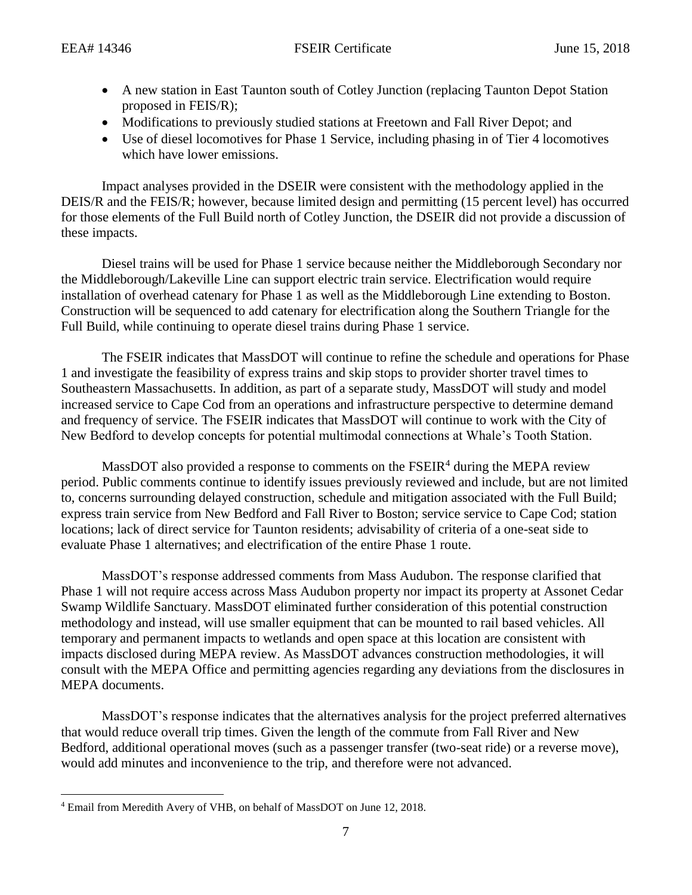- A new station in East Taunton south of Cotley Junction (replacing Taunton Depot Station proposed in FEIS/R);
- Modifications to previously studied stations at Freetown and Fall River Depot; and
- Use of diesel locomotives for Phase 1 Service, including phasing in of Tier 4 locomotives which have lower emissions.

Impact analyses provided in the DSEIR were consistent with the methodology applied in the DEIS/R and the FEIS/R; however, because limited design and permitting (15 percent level) has occurred for those elements of the Full Build north of Cotley Junction, the DSEIR did not provide a discussion of these impacts.

Diesel trains will be used for Phase 1 service because neither the Middleborough Secondary nor the Middleborough/Lakeville Line can support electric train service. Electrification would require installation of overhead catenary for Phase 1 as well as the Middleborough Line extending to Boston. Construction will be sequenced to add catenary for electrification along the Southern Triangle for the Full Build, while continuing to operate diesel trains during Phase 1 service.

The FSEIR indicates that MassDOT will continue to refine the schedule and operations for Phase 1 and investigate the feasibility of express trains and skip stops to provider shorter travel times to Southeastern Massachusetts. In addition, as part of a separate study, MassDOT will study and model increased service to Cape Cod from an operations and infrastructure perspective to determine demand and frequency of service. The FSEIR indicates that MassDOT will continue to work with the City of New Bedford to develop concepts for potential multimodal connections at Whale's Tooth Station.

MassDOT also provided a response to comments on the  $FSEIR<sup>4</sup>$  during the MEPA review period. Public comments continue to identify issues previously reviewed and include, but are not limited to, concerns surrounding delayed construction, schedule and mitigation associated with the Full Build; express train service from New Bedford and Fall River to Boston; service service to Cape Cod; station locations; lack of direct service for Taunton residents; advisability of criteria of a one-seat side to evaluate Phase 1 alternatives; and electrification of the entire Phase 1 route.

MassDOT's response addressed comments from Mass Audubon. The response clarified that Phase 1 will not require access across Mass Audubon property nor impact its property at Assonet Cedar Swamp Wildlife Sanctuary. MassDOT eliminated further consideration of this potential construction methodology and instead, will use smaller equipment that can be mounted to rail based vehicles. All temporary and permanent impacts to wetlands and open space at this location are consistent with impacts disclosed during MEPA review. As MassDOT advances construction methodologies, it will consult with the MEPA Office and permitting agencies regarding any deviations from the disclosures in MEPA documents.

MassDOT's response indicates that the alternatives analysis for the project preferred alternatives that would reduce overall trip times. Given the length of the commute from Fall River and New Bedford, additional operational moves (such as a passenger transfer (two-seat ride) or a reverse move), would add minutes and inconvenience to the trip, and therefore were not advanced.

 $\overline{\phantom{a}}$ <sup>4</sup> Email from Meredith Avery of VHB, on behalf of MassDOT on June 12, 2018.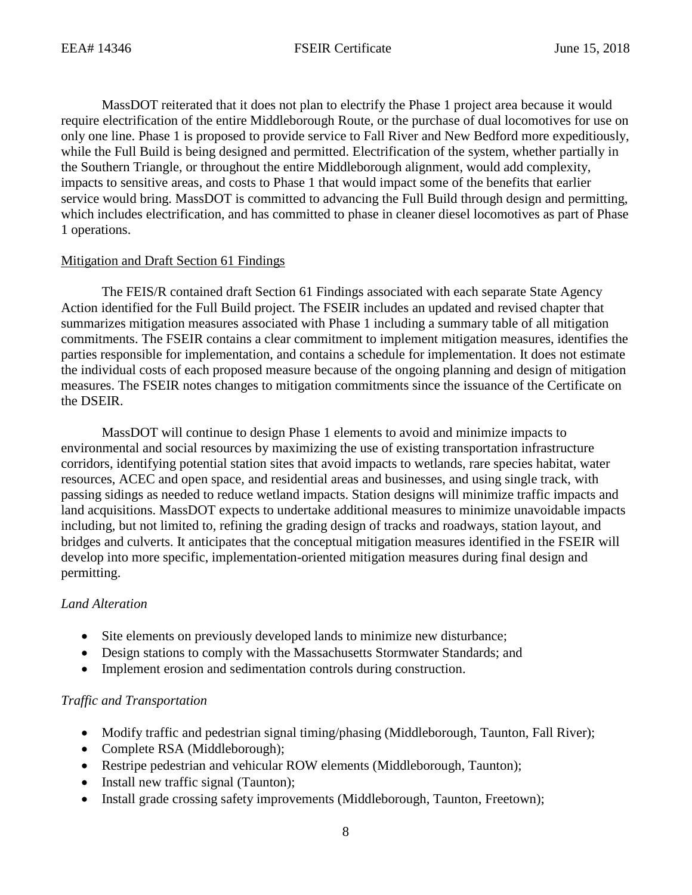MassDOT reiterated that it does not plan to electrify the Phase 1 project area because it would require electrification of the entire Middleborough Route, or the purchase of dual locomotives for use on only one line. Phase 1 is proposed to provide service to Fall River and New Bedford more expeditiously, while the Full Build is being designed and permitted. Electrification of the system, whether partially in the Southern Triangle, or throughout the entire Middleborough alignment, would add complexity, impacts to sensitive areas, and costs to Phase 1 that would impact some of the benefits that earlier service would bring. MassDOT is committed to advancing the Full Build through design and permitting, which includes electrification, and has committed to phase in cleaner diesel locomotives as part of Phase 1 operations.

## Mitigation and Draft Section 61 Findings

The FEIS/R contained draft Section 61 Findings associated with each separate State Agency Action identified for the Full Build project. The FSEIR includes an updated and revised chapter that summarizes mitigation measures associated with Phase 1 including a summary table of all mitigation commitments. The FSEIR contains a clear commitment to implement mitigation measures, identifies the parties responsible for implementation, and contains a schedule for implementation. It does not estimate the individual costs of each proposed measure because of the ongoing planning and design of mitigation measures. The FSEIR notes changes to mitigation commitments since the issuance of the Certificate on the DSEIR.

MassDOT will continue to design Phase 1 elements to avoid and minimize impacts to environmental and social resources by maximizing the use of existing transportation infrastructure corridors, identifying potential station sites that avoid impacts to wetlands, rare species habitat, water resources, ACEC and open space, and residential areas and businesses, and using single track, with passing sidings as needed to reduce wetland impacts. Station designs will minimize traffic impacts and land acquisitions. MassDOT expects to undertake additional measures to minimize unavoidable impacts including, but not limited to, refining the grading design of tracks and roadways, station layout, and bridges and culverts. It anticipates that the conceptual mitigation measures identified in the FSEIR will develop into more specific, implementation-oriented mitigation measures during final design and permitting.

# *Land Alteration*

- Site elements on previously developed lands to minimize new disturbance;
- Design stations to comply with the Massachusetts Stormwater Standards; and
- Implement erosion and sedimentation controls during construction.

# *Traffic and Transportation*

- Modify traffic and pedestrian signal timing/phasing (Middleborough, Taunton, Fall River);
- Complete RSA (Middleborough);
- Restripe pedestrian and vehicular ROW elements (Middleborough, Taunton);
- Install new traffic signal (Taunton);
- Install grade crossing safety improvements (Middleborough, Taunton, Freetown);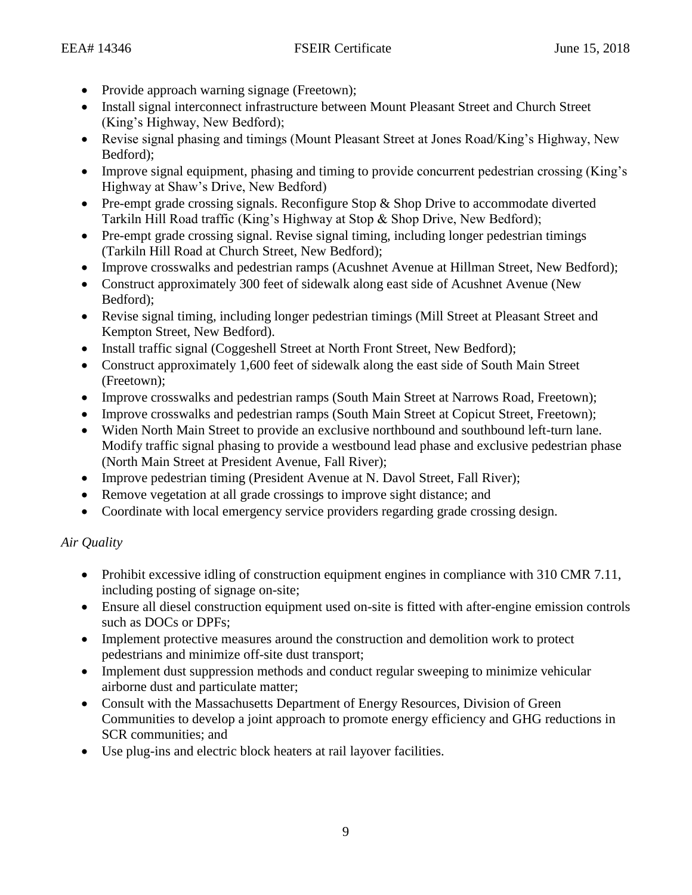- Provide approach warning signage (Freetown);
- Install signal interconnect infrastructure between Mount Pleasant Street and Church Street (King's Highway, New Bedford);
- Revise signal phasing and timings (Mount Pleasant Street at Jones Road/King's Highway, New Bedford);
- Improve signal equipment, phasing and timing to provide concurrent pedestrian crossing (King's Highway at Shaw's Drive, New Bedford)
- Pre-empt grade crossing signals. Reconfigure Stop & Shop Drive to accommodate diverted Tarkiln Hill Road traffic (King's Highway at Stop & Shop Drive, New Bedford);
- Pre-empt grade crossing signal. Revise signal timing, including longer pedestrian timings (Tarkiln Hill Road at Church Street, New Bedford);
- Improve crosswalks and pedestrian ramps (Acushnet Avenue at Hillman Street, New Bedford);
- Construct approximately 300 feet of sidewalk along east side of Acushnet Avenue (New Bedford);
- Revise signal timing, including longer pedestrian timings (Mill Street at Pleasant Street and Kempton Street, New Bedford).
- Install traffic signal (Coggeshell Street at North Front Street, New Bedford);
- Construct approximately 1,600 feet of sidewalk along the east side of South Main Street (Freetown);
- Improve crosswalks and pedestrian ramps (South Main Street at Narrows Road, Freetown);
- Improve crosswalks and pedestrian ramps (South Main Street at Copicut Street, Freetown);
- Widen North Main Street to provide an exclusive northbound and southbound left-turn lane. Modify traffic signal phasing to provide a westbound lead phase and exclusive pedestrian phase (North Main Street at President Avenue, Fall River);
- Improve pedestrian timing (President Avenue at N. Davol Street, Fall River);
- Remove vegetation at all grade crossings to improve sight distance; and
- Coordinate with local emergency service providers regarding grade crossing design.

# *Air Quality*

- Prohibit excessive idling of construction equipment engines in compliance with 310 CMR 7.11, including posting of signage on-site;
- Ensure all diesel construction equipment used on-site is fitted with after-engine emission controls such as DOCs or DPFs;
- Implement protective measures around the construction and demolition work to protect pedestrians and minimize off-site dust transport;
- Implement dust suppression methods and conduct regular sweeping to minimize vehicular airborne dust and particulate matter;
- Consult with the Massachusetts Department of Energy Resources, Division of Green Communities to develop a joint approach to promote energy efficiency and GHG reductions in SCR communities; and
- Use plug-ins and electric block heaters at rail layover facilities.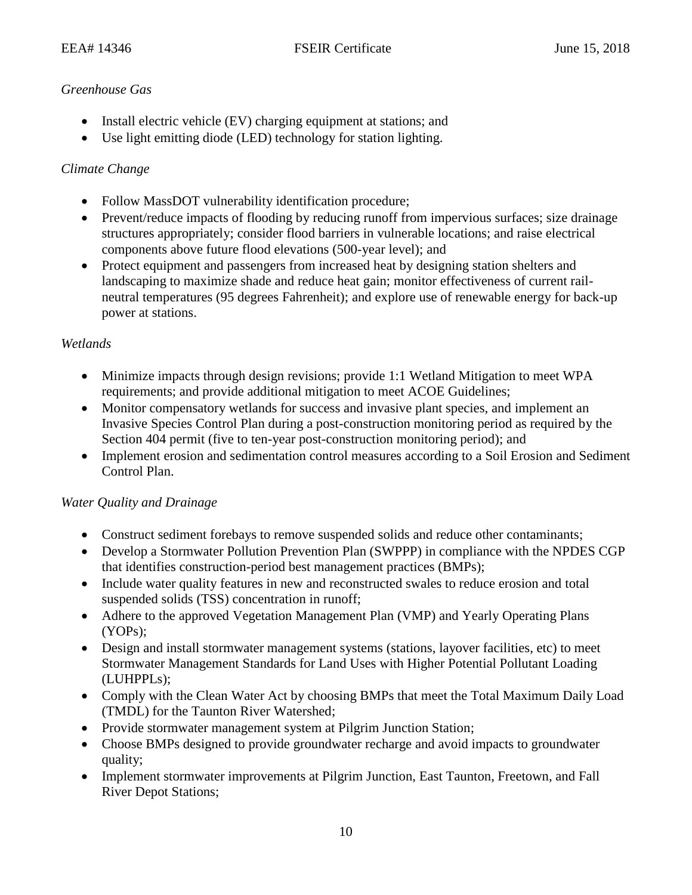# *Greenhouse Gas*

- Install electric vehicle (EV) charging equipment at stations; and
- Use light emitting diode (LED) technology for station lighting.

# *Climate Change*

- Follow MassDOT vulnerability identification procedure;
- Prevent/reduce impacts of flooding by reducing runoff from impervious surfaces; size drainage structures appropriately; consider flood barriers in vulnerable locations; and raise electrical components above future flood elevations (500-year level); and
- Protect equipment and passengers from increased heat by designing station shelters and landscaping to maximize shade and reduce heat gain; monitor effectiveness of current railneutral temperatures (95 degrees Fahrenheit); and explore use of renewable energy for back-up power at stations.

# *Wetlands*

- Minimize impacts through design revisions; provide 1:1 Wetland Mitigation to meet WPA requirements; and provide additional mitigation to meet ACOE Guidelines;
- Monitor compensatory wetlands for success and invasive plant species, and implement an Invasive Species Control Plan during a post-construction monitoring period as required by the Section 404 permit (five to ten-year post-construction monitoring period); and
- Implement erosion and sedimentation control measures according to a Soil Erosion and Sediment Control Plan.

# *Water Quality and Drainage*

- Construct sediment forebays to remove suspended solids and reduce other contaminants;
- Develop a Stormwater Pollution Prevention Plan (SWPPP) in compliance with the NPDES CGP that identifies construction-period best management practices (BMPs);
- Include water quality features in new and reconstructed swales to reduce erosion and total suspended solids (TSS) concentration in runoff;
- Adhere to the approved Vegetation Management Plan (VMP) and Yearly Operating Plans (YOPs);
- Design and install stormwater management systems (stations, layover facilities, etc) to meet Stormwater Management Standards for Land Uses with Higher Potential Pollutant Loading (LUHPPLs);
- Comply with the Clean Water Act by choosing BMPs that meet the Total Maximum Daily Load (TMDL) for the Taunton River Watershed;
- Provide stormwater management system at Pilgrim Junction Station;
- Choose BMPs designed to provide groundwater recharge and avoid impacts to groundwater quality;
- Implement stormwater improvements at Pilgrim Junction, East Taunton, Freetown, and Fall River Depot Stations;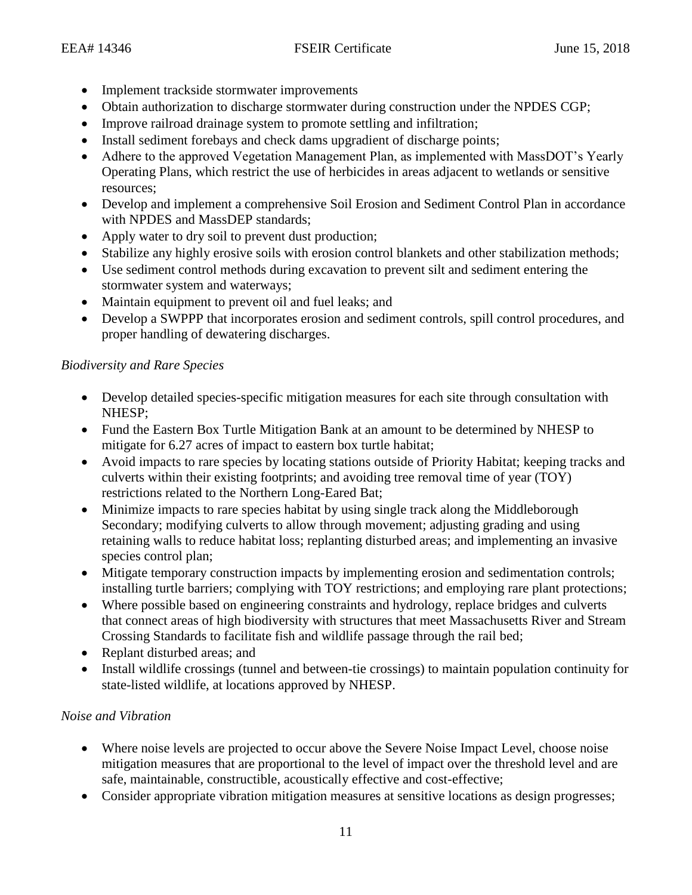- Implement trackside stormwater improvements
- Obtain authorization to discharge stormwater during construction under the NPDES CGP;
- Improve railroad drainage system to promote settling and infiltration;
- Install sediment forebays and check dams upgradient of discharge points;
- Adhere to the approved Vegetation Management Plan, as implemented with MassDOT's Yearly Operating Plans, which restrict the use of herbicides in areas adjacent to wetlands or sensitive resources;
- Develop and implement a comprehensive Soil Erosion and Sediment Control Plan in accordance with NPDES and MassDEP standards;
- Apply water to dry soil to prevent dust production;
- Stabilize any highly erosive soils with erosion control blankets and other stabilization methods;
- Use sediment control methods during excavation to prevent silt and sediment entering the stormwater system and waterways;
- Maintain equipment to prevent oil and fuel leaks; and
- Develop a SWPPP that incorporates erosion and sediment controls, spill control procedures, and proper handling of dewatering discharges.

# *Biodiversity and Rare Species*

- Develop detailed species-specific mitigation measures for each site through consultation with NHESP;
- Fund the Eastern Box Turtle Mitigation Bank at an amount to be determined by NHESP to mitigate for 6.27 acres of impact to eastern box turtle habitat;
- Avoid impacts to rare species by locating stations outside of Priority Habitat; keeping tracks and culverts within their existing footprints; and avoiding tree removal time of year (TOY) restrictions related to the Northern Long-Eared Bat;
- Minimize impacts to rare species habitat by using single track along the Middleborough Secondary; modifying culverts to allow through movement; adjusting grading and using retaining walls to reduce habitat loss; replanting disturbed areas; and implementing an invasive species control plan;
- Mitigate temporary construction impacts by implementing erosion and sedimentation controls; installing turtle barriers; complying with TOY restrictions; and employing rare plant protections;
- Where possible based on engineering constraints and hydrology, replace bridges and culverts that connect areas of high biodiversity with structures that meet Massachusetts River and Stream Crossing Standards to facilitate fish and wildlife passage through the rail bed;
- Replant disturbed areas; and
- Install wildlife crossings (tunnel and between-tie crossings) to maintain population continuity for state-listed wildlife, at locations approved by NHESP.

# *Noise and Vibration*

- Where noise levels are projected to occur above the Severe Noise Impact Level, choose noise mitigation measures that are proportional to the level of impact over the threshold level and are safe, maintainable, constructible, acoustically effective and cost-effective;
- Consider appropriate vibration mitigation measures at sensitive locations as design progresses;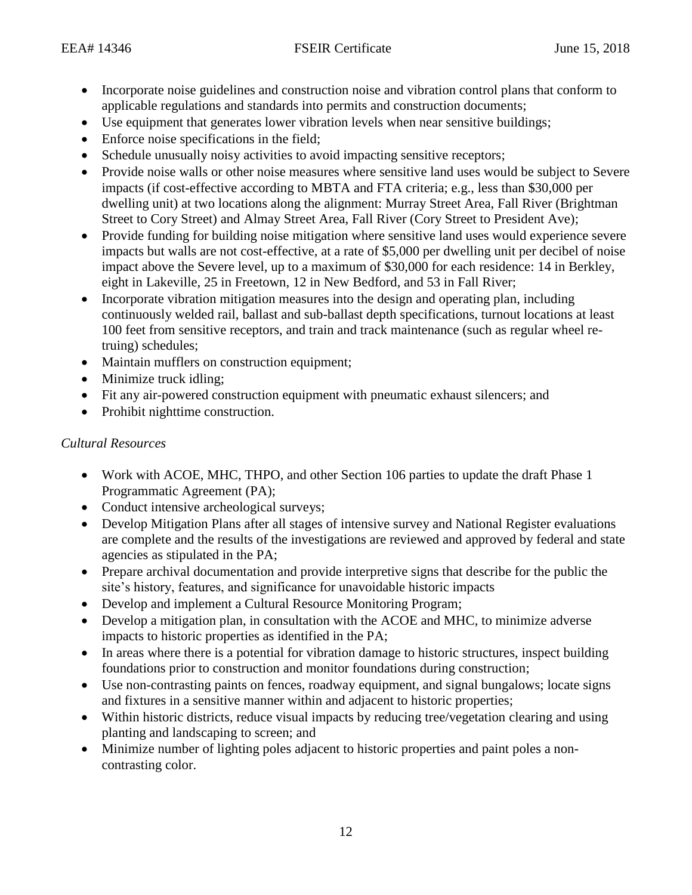- Incorporate noise guidelines and construction noise and vibration control plans that conform to applicable regulations and standards into permits and construction documents;
- Use equipment that generates lower vibration levels when near sensitive buildings;
- Enforce noise specifications in the field;
- Schedule unusually noisy activities to avoid impacting sensitive receptors;
- Provide noise walls or other noise measures where sensitive land uses would be subject to Severe impacts (if cost-effective according to MBTA and FTA criteria; e.g., less than \$30,000 per dwelling unit) at two locations along the alignment: Murray Street Area, Fall River (Brightman Street to Cory Street) and Almay Street Area, Fall River (Cory Street to President Ave);
- Provide funding for building noise mitigation where sensitive land uses would experience severe impacts but walls are not cost-effective, at a rate of \$5,000 per dwelling unit per decibel of noise impact above the Severe level, up to a maximum of \$30,000 for each residence: 14 in Berkley, eight in Lakeville, 25 in Freetown, 12 in New Bedford, and 53 in Fall River;
- Incorporate vibration mitigation measures into the design and operating plan, including continuously welded rail, ballast and sub-ballast depth specifications, turnout locations at least 100 feet from sensitive receptors, and train and track maintenance (such as regular wheel retruing) schedules;
- Maintain mufflers on construction equipment;
- Minimize truck idling;
- Fit any air-powered construction equipment with pneumatic exhaust silencers; and
- Prohibit nighttime construction.

# *Cultural Resources*

- Work with ACOE, MHC, THPO, and other Section 106 parties to update the draft Phase 1 Programmatic Agreement (PA);
- Conduct intensive archeological surveys;
- Develop Mitigation Plans after all stages of intensive survey and National Register evaluations are complete and the results of the investigations are reviewed and approved by federal and state agencies as stipulated in the PA;
- Prepare archival documentation and provide interpretive signs that describe for the public the site's history, features, and significance for unavoidable historic impacts
- Develop and implement a Cultural Resource Monitoring Program;
- Develop a mitigation plan, in consultation with the ACOE and MHC, to minimize adverse impacts to historic properties as identified in the PA;
- In areas where there is a potential for vibration damage to historic structures, inspect building foundations prior to construction and monitor foundations during construction;
- Use non-contrasting paints on fences, roadway equipment, and signal bungalows; locate signs and fixtures in a sensitive manner within and adjacent to historic properties;
- Within historic districts, reduce visual impacts by reducing tree/vegetation clearing and using planting and landscaping to screen; and
- Minimize number of lighting poles adjacent to historic properties and paint poles a noncontrasting color.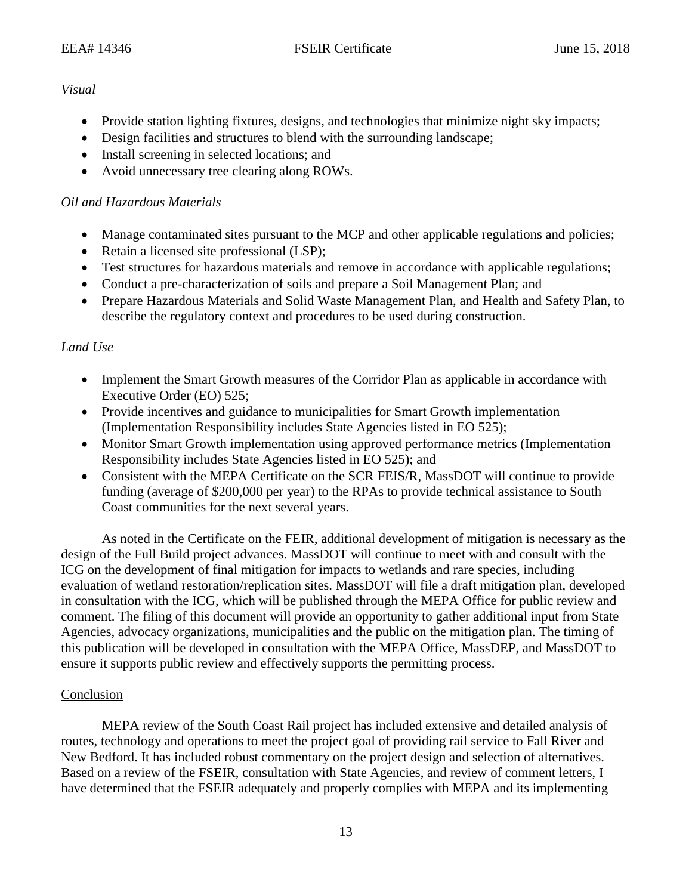## *Visual*

- Provide station lighting fixtures, designs, and technologies that minimize night sky impacts;
- Design facilities and structures to blend with the surrounding landscape;
- Install screening in selected locations; and
- Avoid unnecessary tree clearing along ROWs.

# *Oil and Hazardous Materials*

- Manage contaminated sites pursuant to the MCP and other applicable regulations and policies;
- Retain a licensed site professional (LSP);
- Test structures for hazardous materials and remove in accordance with applicable regulations;
- Conduct a pre-characterization of soils and prepare a Soil Management Plan; and
- Prepare Hazardous Materials and Solid Waste Management Plan, and Health and Safety Plan, to describe the regulatory context and procedures to be used during construction.

## *Land Use*

- Implement the Smart Growth measures of the Corridor Plan as applicable in accordance with Executive Order (EO) 525;
- Provide incentives and guidance to municipalities for Smart Growth implementation (Implementation Responsibility includes State Agencies listed in EO 525);
- Monitor Smart Growth implementation using approved performance metrics (Implementation Responsibility includes State Agencies listed in EO 525); and
- Consistent with the MEPA Certificate on the SCR FEIS/R, MassDOT will continue to provide funding (average of \$200,000 per year) to the RPAs to provide technical assistance to South Coast communities for the next several years.

As noted in the Certificate on the FEIR, additional development of mitigation is necessary as the design of the Full Build project advances. MassDOT will continue to meet with and consult with the ICG on the development of final mitigation for impacts to wetlands and rare species, including evaluation of wetland restoration/replication sites. MassDOT will file a draft mitigation plan, developed in consultation with the ICG, which will be published through the MEPA Office for public review and comment. The filing of this document will provide an opportunity to gather additional input from State Agencies, advocacy organizations, municipalities and the public on the mitigation plan. The timing of this publication will be developed in consultation with the MEPA Office, MassDEP, and MassDOT to ensure it supports public review and effectively supports the permitting process.

# Conclusion

MEPA review of the South Coast Rail project has included extensive and detailed analysis of routes, technology and operations to meet the project goal of providing rail service to Fall River and New Bedford. It has included robust commentary on the project design and selection of alternatives. Based on a review of the FSEIR, consultation with State Agencies, and review of comment letters, I have determined that the FSEIR adequately and properly complies with MEPA and its implementing